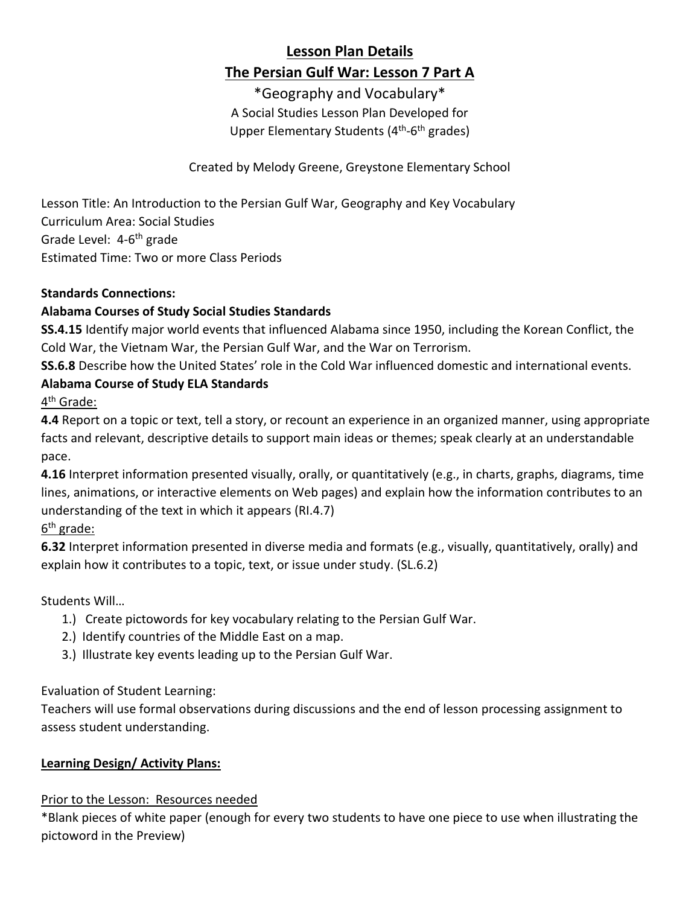# **Lesson Plan Details**

# **The Persian Gulf War: Lesson 7 Part A**

\*Geography and Vocabulary\* A Social Studies Lesson Plan Developed for Upper Elementary Students (4<sup>th</sup>-6<sup>th</sup> grades)

Created by Melody Greene, Greystone Elementary School

Lesson Title: An Introduction to the Persian Gulf War, Geography and Key Vocabulary Curriculum Area: Social Studies Grade Level: 4-6<sup>th</sup> grade Estimated Time: Two or more Class Periods

#### **Standards Connections:**

## **Alabama Courses of Study Social Studies Standards**

**SS.4.15** Identify major world events that influenced Alabama since 1950, including the Korean Conflict, the Cold War, the Vietnam War, the Persian Gulf War, and the War on Terrorism.

**SS.6.8** Describe how the United States' role in the Cold War influenced domestic and international events.

## **Alabama Course of Study ELA Standards**

4<sup>th</sup> Grade:

**4.4** Report on a topic or text, tell a story, or recount an experience in an organized manner, using appropriate facts and relevant, descriptive details to support main ideas or themes; speak clearly at an understandable pace.

**4.16** Interpret information presented visually, orally, or quantitatively (e.g., in charts, graphs, diagrams, time lines, animations, or interactive elements on Web pages) and explain how the information contributes to an understanding of the text in which it appears (RI.4.7)

# 6<sup>th</sup> grade:

**6.32** Interpret information presented in diverse media and formats (e.g., visually, quantitatively, orally) and explain how it contributes to a topic, text, or issue under study. (SL.6.2)

#### Students Will…

- 1.) Create pictowords for key vocabulary relating to the Persian Gulf War.
- 2.) Identify countries of the Middle East on a map.
- 3.) Illustrate key events leading up to the Persian Gulf War.

#### Evaluation of Student Learning:

Teachers will use formal observations during discussions and the end of lesson processing assignment to assess student understanding.

#### **Learning Design/ Activity Plans:**

#### Prior to the Lesson: Resources needed

\*Blank pieces of white paper (enough for every two students to have one piece to use when illustrating the pictoword in the Preview)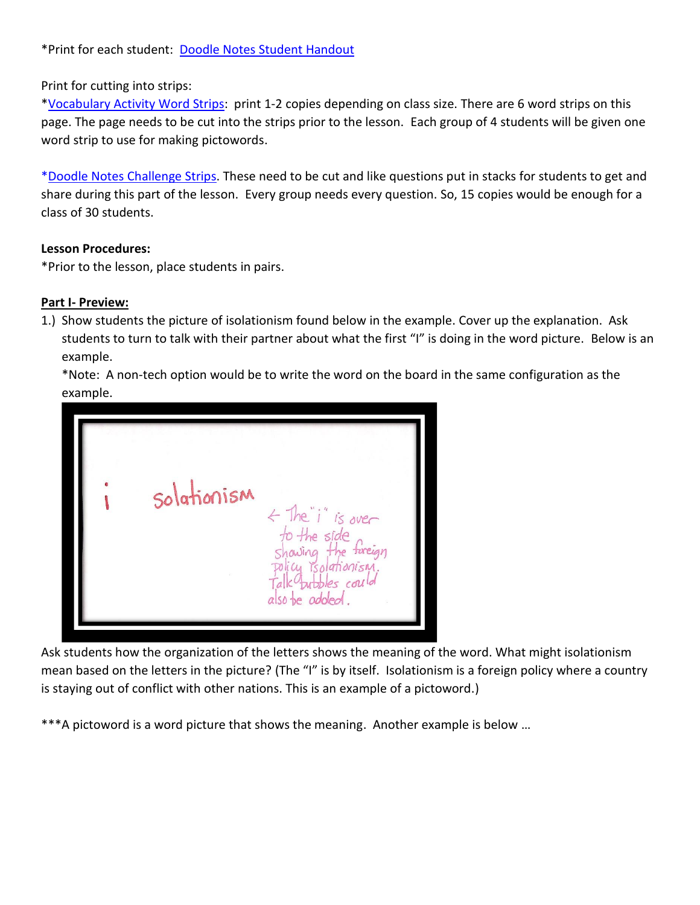## \*Print for each student: [Doodle Notes Student Handout](https://docs.wixstatic.com/ugd/3aa6e6_5a654788b2c0498690dd392de9ef11c7.pdf)

#### Print for cutting into strips:

[\\*Vocabulary Activity](https://docs.wixstatic.com/ugd/3aa6e6_c9018dc2db0f44ba9a95b3a964c7313e.pdf) Word Strips: print 1-2 copies depending on class size. There are 6 word strips on this page. The page needs to be cut into the strips prior to the lesson. Each group of 4 students will be given one word strip to use for making pictowords.

[\\*Doodle Notes Challenge](https://docs.wixstatic.com/ugd/3aa6e6_37d9765c340a4732bd4aa02022a058d3.pdf) Strips. These need to be cut and like questions put in stacks for students to get and share during this part of the lesson. Every group needs every question. So, 15 copies would be enough for a class of 30 students.

#### **Lesson Procedures:**

\*Prior to the lesson, place students in pairs.

#### **Part I- Preview:**

1.) Show students the picture of isolationism found below in the example. Cover up the explanation. Ask students to turn to talk with their partner about what the first "I" is doing in the word picture. Below is an example.

\*Note: A non-tech option would be to write the word on the board in the same configuration as the example.



Ask students how the organization of the letters shows the meaning of the word. What might isolationism mean based on the letters in the picture? (The "I" is by itself. Isolationism is a foreign policy where a country is staying out of conflict with other nations. This is an example of a pictoword.)

\*\*\*A pictoword is a word picture that shows the meaning. Another example is below ...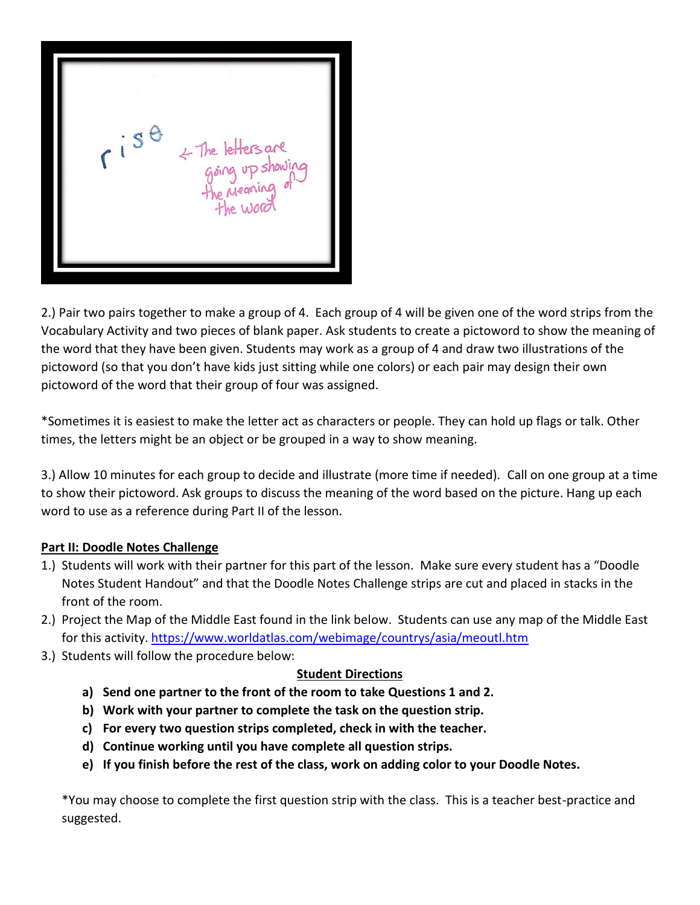

2.) Pair two pairs together to make a group of 4. Each group of 4 will be given one of the word strips from the Vocabulary Activity and two pieces of blank paper. Ask students to create a pictoword to show the meaning of the word that they have been given. Students may work as a group of 4 and draw two illustrations of the pictoword (so that you don't have kids just sitting while one colors) or each pair may design their own pictoword of the word that their group of four was assigned.

\*Sometimes it is easiest to make the letter act as characters or people. They can hold up flags or talk. Other times, the letters might be an object or be grouped in a way to show meaning.

3.) Allow 10 minutes for each group to decide and illustrate (more time if needed). Call on one group at a time to show their pictoword. Ask groups to discuss the meaning of the word based on the picture. Hang up each word to use as a reference during Part II of the lesson.

#### **Part II: Doodle Notes Challenge**

- 1.) Students will work with their partner for this part of the lesson. Make sure every student has a "Doodle Notes Student Handout" and that the Doodle Notes Challenge strips are cut and placed in stacks in the front of the room.
- 2.) Project the Map of the Middle East found in the link below. Students can use any map of the Middle East for this activity.<https://www.worldatlas.com/webimage/countrys/asia/meoutl.htm>
- 3.) Students will follow the procedure below:

#### **Student Directions**

- **a) Send one partner to the front of the room to take Questions 1 and 2.**
- **b) Work with your partner to complete the task on the question strip.**
- **c) For every two question strips completed, check in with the teacher.**
- **d) Continue working until you have complete all question strips.**
- **e) If you finish before the rest of the class, work on adding color to your Doodle Notes.**

\*You may choose to complete the first question strip with the class. This is a teacher best-practice and suggested.